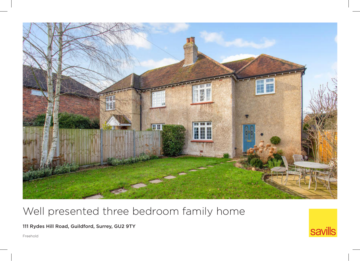

# Well presented three bedroom family home

111 Rydes Hill Road, Guildford, Surrey, GU2 9TY

Freehold

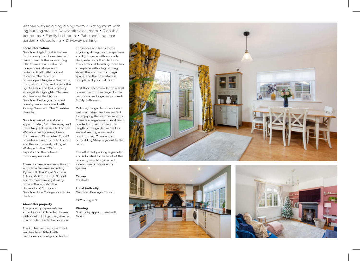Kitchen with adjoining dining room • Sitting room with log burning stove • Downstairs cloakroom • 3 double bedrooms • Family bathroom • Patio and large rear garden • Outbuilding • Driveway parking

## **Local information**

Guildford High Street is known for its pretty traditional feel with views towards the surrounding hills. There are a number of independent shops and restaurants all within a short distance. The recently redeveloped Tungsate Quarter is in close proximity, and boasts the Ivy Brasserie and Gail's Bakery amongst its highlights. The area also features the historic Guildford Castle grounds and country walks are varied with Pewley Down and The Chantries close by.

Guildford mainline station is approximately 1.4 miles away and has a frequent service to London Waterloo, with journey times from around 35 minutes. The A3 provides a direct route to London and the south coast, linking at Wisley with the M25 for the airports and the national motorway network.

There is an excellent selection of schools in the area, including Rydes Hill, The Royal Grammar School, Guildford High School and Tormead amongst many others. There is also the University of Surrey and Guildford Law College located in the town.

# **About this property**

The property represents an attractive semi detached house with a delightful garden, situated in a popular residential location.

The kitchen with exposed brick wall has been fitted with traditional cabinetry and built-in appliances and leads to the adjoining dining room, a spacious and light space with access to the gardens via French doors. The comfortable sitting room has a fireplace with a log burning stove, there is useful storage space, and the downstairs is completed by a cloakroom.

First floor accommodation is well planned with three large double bedrooms and a generous sized family bathroom.

Outside, the gardens have been well maintained and are perfect for enjoying the summer months. There is a large area of level lawn, planted borders running the length of the garden as well as several seating areas and a potting shed. Of note is an outbuilding/store adjacent to the patio.

The off street parking is graveled and is located to the front of the property which is gated with video intercom door entry system.

**Tenure** Freehold

#### **Local Authority**

Guildford Borough Council

EPC rating = D

## **Viewing**

Strictly by appointment with Savills





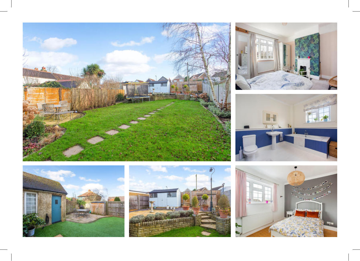